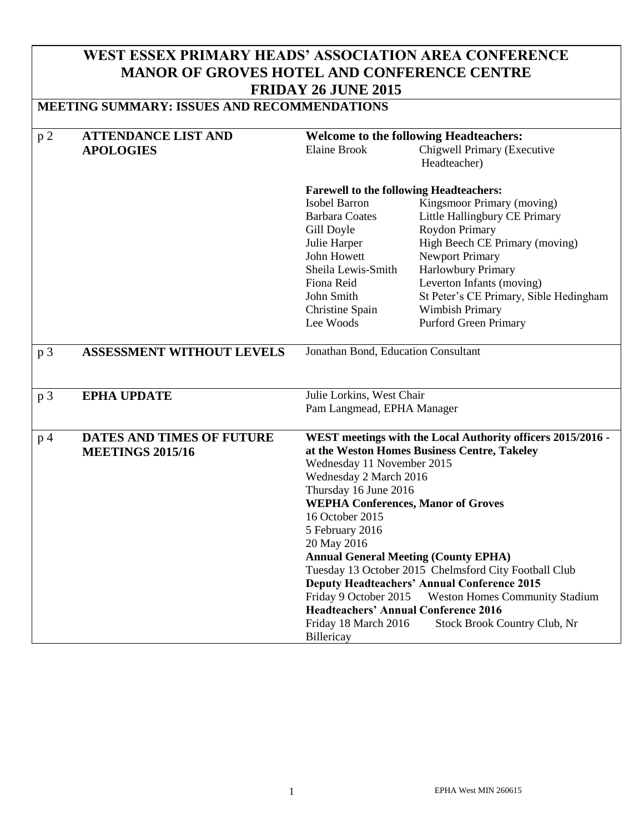## **WEST ESSEX PRIMARY HEADS' ASSOCIATION AREA CONFERENCE MANOR OF GROVES HOTEL AND CONFERENCE CENTRE FRIDAY 26 JUNE 2015**

### **MEETING SUMMARY: ISSUES AND RECOMMENDATIONS**

| $\, {\bf p}$ 2 | <b>ATTENDANCE LIST AND</b>                                  | <b>Welcome to the following Headteachers:</b>                                                                                                                                                                                                                                                                                                                                                                                                                                                                                                                                 |                                             |  |
|----------------|-------------------------------------------------------------|-------------------------------------------------------------------------------------------------------------------------------------------------------------------------------------------------------------------------------------------------------------------------------------------------------------------------------------------------------------------------------------------------------------------------------------------------------------------------------------------------------------------------------------------------------------------------------|---------------------------------------------|--|
|                | <b>APOLOGIES</b>                                            | <b>Elaine Brook</b>                                                                                                                                                                                                                                                                                                                                                                                                                                                                                                                                                           | Chigwell Primary (Executive<br>Headteacher) |  |
|                |                                                             | <b>Farewell to the following Headteachers:</b>                                                                                                                                                                                                                                                                                                                                                                                                                                                                                                                                |                                             |  |
|                |                                                             | Isobel Barron                                                                                                                                                                                                                                                                                                                                                                                                                                                                                                                                                                 | Kingsmoor Primary (moving)                  |  |
|                |                                                             | <b>Barbara Coates</b>                                                                                                                                                                                                                                                                                                                                                                                                                                                                                                                                                         | Little Hallingbury CE Primary               |  |
|                |                                                             | Gill Doyle                                                                                                                                                                                                                                                                                                                                                                                                                                                                                                                                                                    | Roydon Primary                              |  |
|                |                                                             | Julie Harper                                                                                                                                                                                                                                                                                                                                                                                                                                                                                                                                                                  | High Beech CE Primary (moving)              |  |
|                |                                                             | John Howett                                                                                                                                                                                                                                                                                                                                                                                                                                                                                                                                                                   | <b>Newport Primary</b>                      |  |
|                |                                                             | Sheila Lewis-Smith                                                                                                                                                                                                                                                                                                                                                                                                                                                                                                                                                            | Harlowbury Primary                          |  |
|                |                                                             | Fiona Reid                                                                                                                                                                                                                                                                                                                                                                                                                                                                                                                                                                    | Leverton Infants (moving)                   |  |
|                |                                                             | John Smith                                                                                                                                                                                                                                                                                                                                                                                                                                                                                                                                                                    | St Peter's CE Primary, Sible Hedingham      |  |
|                |                                                             | Christine Spain                                                                                                                                                                                                                                                                                                                                                                                                                                                                                                                                                               | Wimbish Primary                             |  |
|                |                                                             | Lee Woods                                                                                                                                                                                                                                                                                                                                                                                                                                                                                                                                                                     | <b>Purford Green Primary</b>                |  |
| p 3            | <b>ASSESSMENT WITHOUT LEVELS</b>                            | Jonathan Bond, Education Consultant                                                                                                                                                                                                                                                                                                                                                                                                                                                                                                                                           |                                             |  |
| p <sub>3</sub> | <b>EPHA UPDATE</b>                                          |                                                                                                                                                                                                                                                                                                                                                                                                                                                                                                                                                                               | Julie Lorkins, West Chair                   |  |
|                |                                                             | Pam Langmead, EPHA Manager                                                                                                                                                                                                                                                                                                                                                                                                                                                                                                                                                    |                                             |  |
| p <sub>4</sub> | <b>DATES AND TIMES OF FUTURE</b><br><b>MEETINGS 2015/16</b> | WEST meetings with the Local Authority officers 2015/2016 -<br>at the Weston Homes Business Centre, Takeley<br>Wednesday 11 November 2015<br>Wednesday 2 March 2016<br>Thursday 16 June 2016<br><b>WEPHA Conferences, Manor of Groves</b><br>16 October 2015<br>5 February 2016<br>20 May 2016<br><b>Annual General Meeting (County EPHA)</b><br>Tuesday 13 October 2015 Chelmsford City Football Club<br><b>Deputy Headteachers' Annual Conference 2015</b><br>Friday 9 October 2015<br><b>Weston Homes Community Stadium</b><br><b>Headteachers' Annual Conference 2016</b> |                                             |  |
|                |                                                             | Friday 18 March 2016<br>Billericay                                                                                                                                                                                                                                                                                                                                                                                                                                                                                                                                            | Stock Brook Country Club, Nr                |  |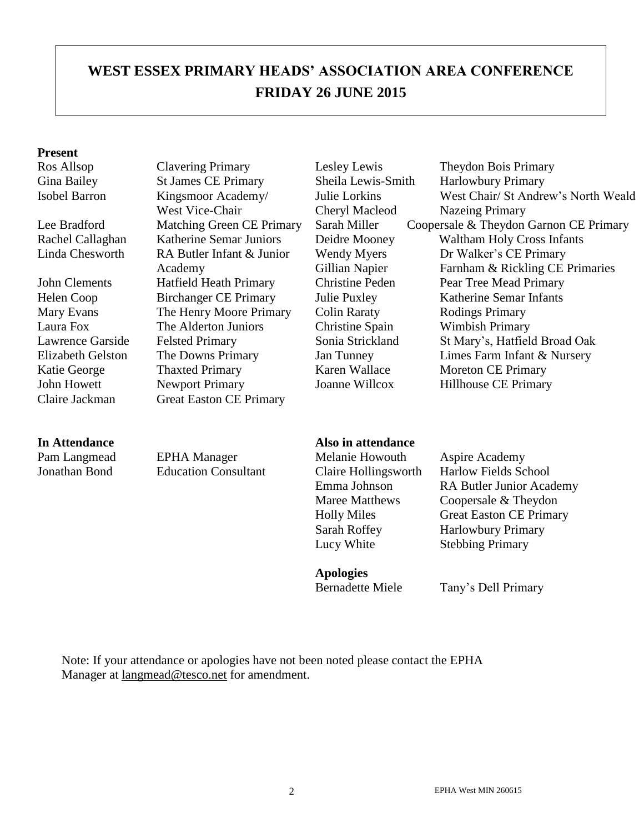# **WEST ESSEX PRIMARY HEADS' ASSOCIATION AREA CONFERENCE FRIDAY 26 JUNE 2015**

#### **Present**

Pam Langmead EPHA Manager Melanie Howouth Aspire Academy

Gina Bailey St James CE Primary Sheila Lewis-Smith Harlowbury Primary Isobel Barron Kingsmoor Academy/ West Vice-Chair<br>Matching Green CE Primary Linda Chesworth RA Butler Infant & Junior Academy Mary Evans The Henry Moore Primary Colin Raraty Rodings Primary Laura Fox The Alderton Juniors Christine Spain Wimbish Primary Katie George Thaxted Primary Karen Wallace Moreton CE Primary John Howett Newport Primary Joanne Willcox Hillhouse CE Primary Claire Jackman Great Easton CE Primary

Julie Lorkins Cheryl Macleod Wendy Myers Gillian Napier

Ros Allsop Clavering Primary Lesley Lewis Theydon Bois Primary West Chair/ St Andrew's North Weald Nazeing Primary Lee Bradford Matching Green CE Primary Sarah Miller Coopersale & Theydon Garnon CE Primary Rachel Callaghan Katherine Semar Juniors Deidre Mooney Waltham Holy Cross Infants Dr Walker's CE Primary Farnham & Rickling CE Primaries John Clements Hatfield Heath Primary Christine Peden Pear Tree Mead Primary Helen Coop Birchanger CE Primary Julie Puxley Katherine Semar Infants Lawrence Garside Felsted Primary Sonia Strickland St Mary's, Hatfield Broad Oak Elizabeth Gelston The Downs Primary Jan Tunney Limes Farm Infant & Nursery

#### **In Attendance Also in attendance**

Lucy White Stebbing Primary

**Apologies**

Jonathan Bond Education Consultant Claire Hollingsworth Harlow Fields School Emma Johnson RA Butler Junior Academy Maree Matthews Coopersale & Theydon Holly Miles Great Easton CE Primary Sarah Roffey Harlowbury Primary

Bernadette Miele Tany's Dell Primary

Note: If your attendance or apologies have not been noted please contact the EPHA Manager at [langmead@tesco.net](mailto:langmead@tesco.net) for amendment.

#### 2 EPHA West MIN 260615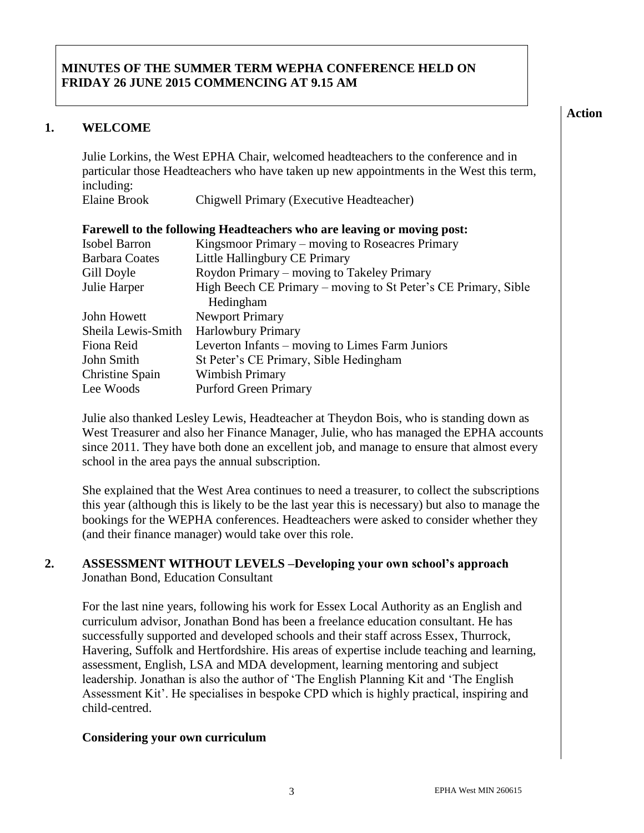#### **MINUTES OF THE SUMMER TERM WEPHA CONFERENCE HELD ON FRIDAY 26 JUNE 2015 COMMENCING AT 9.15 AM**

#### **1. WELCOME**

Julie Lorkins, the West EPHA Chair, welcomed headteachers to the conference and in particular those Headteachers who have taken up new appointments in the West this term, including:

| <b>Elaine Brook</b> | Chigwell Primary (Executive Headteacher) |  |  |
|---------------------|------------------------------------------|--|--|
|                     |                                          |  |  |

| Farewell to the following Headteachers who are leaving or moving post: |                                                                |  |  |  |  |  |
|------------------------------------------------------------------------|----------------------------------------------------------------|--|--|--|--|--|
| <b>Isobel Barron</b>                                                   | Kingsmoor Primary – moving to Roseacres Primary                |  |  |  |  |  |
| <b>Barbara Coates</b>                                                  | Little Hallingbury CE Primary                                  |  |  |  |  |  |
| Gill Doyle                                                             | Roydon Primary – moving to Takeley Primary                     |  |  |  |  |  |
| Julie Harper                                                           | High Beech CE Primary – moving to St Peter's CE Primary, Sible |  |  |  |  |  |
|                                                                        | Hedingham                                                      |  |  |  |  |  |
| John Howett                                                            | <b>Newport Primary</b>                                         |  |  |  |  |  |
| Sheila Lewis-Smith                                                     | <b>Harlowbury Primary</b>                                      |  |  |  |  |  |
| Fiona Reid                                                             | Leverton Infants – moving to Limes Farm Juniors                |  |  |  |  |  |
| John Smith                                                             | St Peter's CE Primary, Sible Hedingham                         |  |  |  |  |  |
| Christine Spain                                                        | <b>Wimbish Primary</b>                                         |  |  |  |  |  |
| Lee Woods                                                              | <b>Purford Green Primary</b>                                   |  |  |  |  |  |

Julie also thanked Lesley Lewis, Headteacher at Theydon Bois, who is standing down as West Treasurer and also her Finance Manager, Julie, who has managed the EPHA accounts since 2011. They have both done an excellent job, and manage to ensure that almost every school in the area pays the annual subscription.

She explained that the West Area continues to need a treasurer, to collect the subscriptions this year (although this is likely to be the last year this is necessary) but also to manage the bookings for the WEPHA conferences. Headteachers were asked to consider whether they (and their finance manager) would take over this role.

#### **2. ASSESSMENT WITHOUT LEVELS –Developing your own school's approach** Jonathan Bond, Education Consultant

For the last nine years, following his work for Essex Local Authority as an English and curriculum advisor, Jonathan Bond has been a freelance education consultant. He has successfully supported and developed schools and their staff across Essex, Thurrock, Havering, Suffolk and Hertfordshire. His areas of expertise include teaching and learning, assessment, English, LSA and MDA development, learning mentoring and subject leadership. Jonathan is also the author of 'The English Planning Kit and 'The English Assessment Kit'. He specialises in bespoke CPD which is highly practical, inspiring and child-centred.

#### **Considering your own curriculum**

**Action**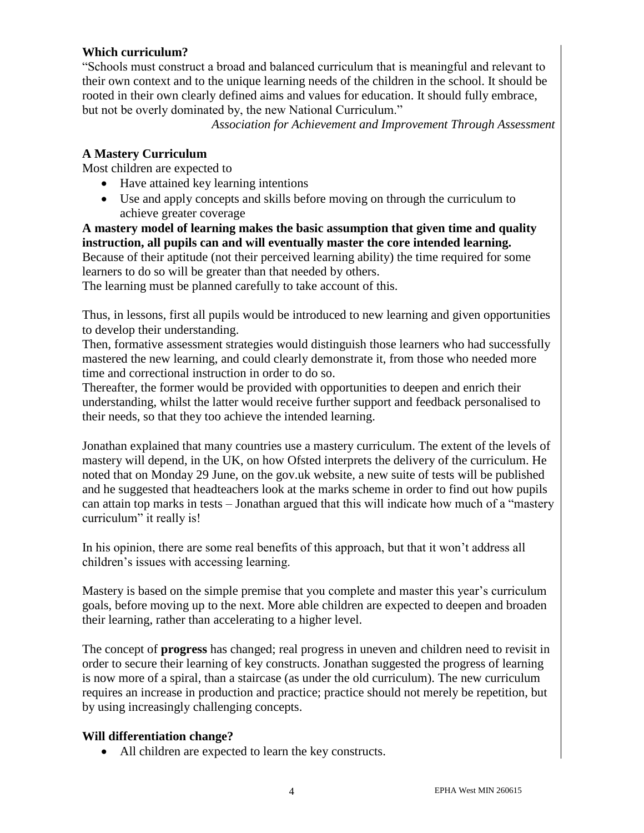#### **Which curriculum?**

"Schools must construct a broad and balanced curriculum that is meaningful and relevant to their own context and to the unique learning needs of the children in the school. It should be rooted in their own clearly defined aims and values for education. It should fully embrace, but not be overly dominated by, the new National Curriculum."

*Association for Achievement and Improvement Through Assessment*

#### **A Mastery Curriculum**

Most children are expected to

- Have attained key learning intentions
- Use and apply concepts and skills before moving on through the curriculum to achieve greater coverage

**A mastery model of learning makes the basic assumption that given time and quality instruction, all pupils can and will eventually master the core intended learning.**  Because of their aptitude (not their perceived learning ability) the time required for some learners to do so will be greater than that needed by others.

The learning must be planned carefully to take account of this.

Thus, in lessons, first all pupils would be introduced to new learning and given opportunities to develop their understanding.

Then, formative assessment strategies would distinguish those learners who had successfully mastered the new learning, and could clearly demonstrate it, from those who needed more time and correctional instruction in order to do so.

Thereafter, the former would be provided with opportunities to deepen and enrich their understanding, whilst the latter would receive further support and feedback personalised to their needs, so that they too achieve the intended learning.

Jonathan explained that many countries use a mastery curriculum. The extent of the levels of mastery will depend, in the UK, on how Ofsted interprets the delivery of the curriculum. He noted that on Monday 29 June, on the gov.uk website, a new suite of tests will be published and he suggested that headteachers look at the marks scheme in order to find out how pupils can attain top marks in tests – Jonathan argued that this will indicate how much of a "mastery curriculum" it really is!

In his opinion, there are some real benefits of this approach, but that it won't address all children's issues with accessing learning.

Mastery is based on the simple premise that you complete and master this year's curriculum goals, before moving up to the next. More able children are expected to deepen and broaden their learning, rather than accelerating to a higher level.

The concept of **progress** has changed; real progress in uneven and children need to revisit in order to secure their learning of key constructs. Jonathan suggested the progress of learning is now more of a spiral, than a staircase (as under the old curriculum). The new curriculum requires an increase in production and practice; practice should not merely be repetition, but by using increasingly challenging concepts.

#### **Will differentiation change?**

All children are expected to learn the key constructs.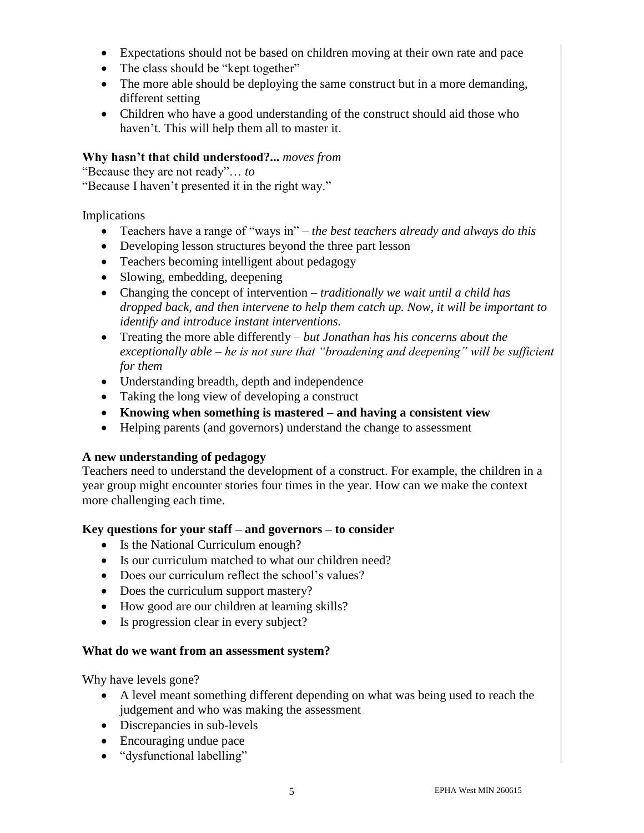- Expectations should not be based on children moving at their own rate and pace
- The class should be "kept together"
- The more able should be deploying the same construct but in a more demanding, different setting
- Children who have a good understanding of the construct should aid those who haven't. This will help them all to master it.

#### **Why hasn't that child understood?...** *moves from*

"Because they are not ready"… *to*

"Because I haven't presented it in the right way."

#### Implications

- Teachers have a range of "ways in" *– the best teachers already and always do this*
- Developing lesson structures beyond the three part lesson
- Teachers becoming intelligent about pedagogy
- Slowing, embedding, deepening
- Changing the concept of intervention *– traditionally we wait until a child has dropped back, and then intervene to help them catch up. Now, it will be important to identify and introduce instant interventions.*
- Treating the more able differently *– but Jonathan has his concerns about the exceptionally able – he is not sure that "broadening and deepening" will be sufficient for them*
- Understanding breadth, depth and independence
- Taking the long view of developing a construct
- **Knowing when something is mastered – and having a consistent view**
- Helping parents (and governors) understand the change to assessment

### **A new understanding of pedagogy**

Teachers need to understand the development of a construct. For example, the children in a year group might encounter stories four times in the year. How can we make the context more challenging each time.

#### **Key questions for your staff – and governors – to consider**

- Is the National Curriculum enough?
- Is our curriculum matched to what our children need?
- Does our curriculum reflect the school's values?
- Does the curriculum support mastery?
- How good are our children at learning skills?
- Is progression clear in every subject?

#### **What do we want from an assessment system?**

Why have levels gone?

- A level meant something different depending on what was being used to reach the judgement and who was making the assessment
- Discrepancies in sub-levels
- Encouraging undue pace
- "dysfunctional labelling"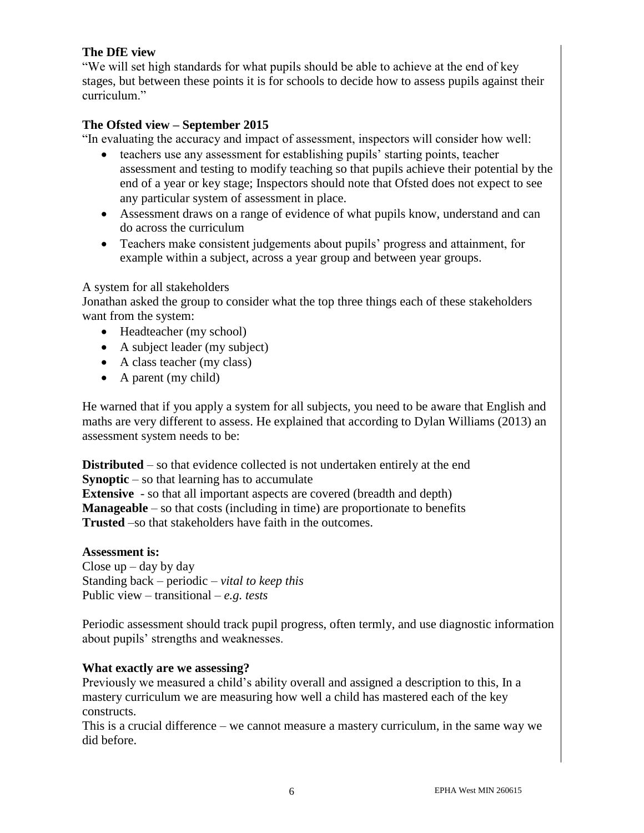#### **The DfE view**

"We will set high standards for what pupils should be able to achieve at the end of key stages, but between these points it is for schools to decide how to assess pupils against their curriculum."

#### **The Ofsted view – September 2015**

"In evaluating the accuracy and impact of assessment, inspectors will consider how well:

- teachers use any assessment for establishing pupils' starting points, teacher assessment and testing to modify teaching so that pupils achieve their potential by the end of a year or key stage; Inspectors should note that Ofsted does not expect to see any particular system of assessment in place.
- Assessment draws on a range of evidence of what pupils know, understand and can do across the curriculum
- Teachers make consistent judgements about pupils' progress and attainment, for example within a subject, across a year group and between year groups.

#### A system for all stakeholders

Jonathan asked the group to consider what the top three things each of these stakeholders want from the system:

- Headteacher (my school)
- A subject leader (my subject)
- A class teacher (my class)
- A parent (my child)

He warned that if you apply a system for all subjects, you need to be aware that English and maths are very different to assess. He explained that according to Dylan Williams (2013) an assessment system needs to be:

**Distributed** – so that evidence collected is not undertaken entirely at the end **Synoptic** – so that learning has to accumulate **Extensive** - so that all important aspects are covered (breadth and depth) **Manageable** – so that costs (including in time) are proportionate to benefits **Trusted** –so that stakeholders have faith in the outcomes.

**Assessment is:** Close  $up$  – day by day Standing back – periodic *– vital to keep this*  Public view – transitional *– e.g. tests*

Periodic assessment should track pupil progress, often termly, and use diagnostic information about pupils' strengths and weaknesses.

#### **What exactly are we assessing?**

Previously we measured a child's ability overall and assigned a description to this, In a mastery curriculum we are measuring how well a child has mastered each of the key constructs.

This is a crucial difference – we cannot measure a mastery curriculum, in the same way we did before.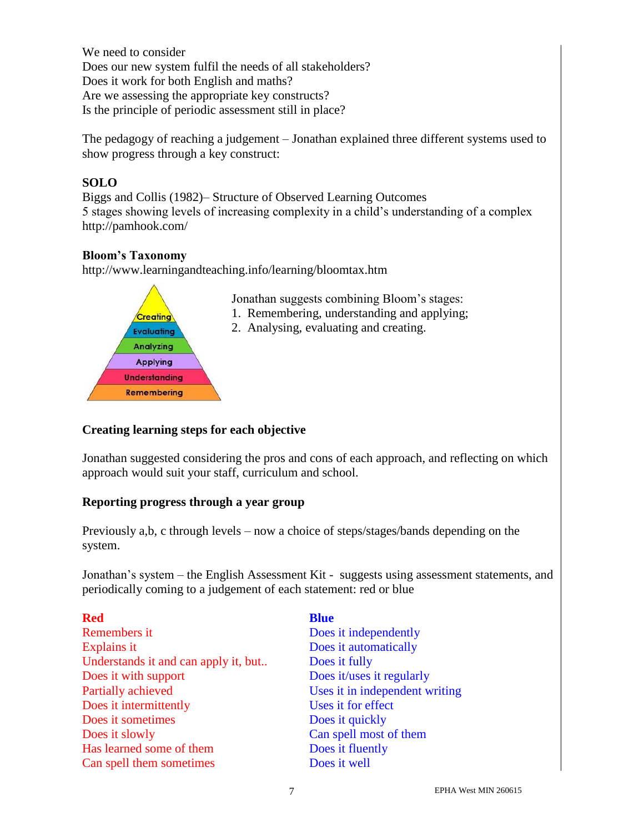We need to consider Does our new system fulfil the needs of all stakeholders? Does it work for both English and maths? Are we assessing the appropriate key constructs? Is the principle of periodic assessment still in place?

The pedagogy of reaching a judgement – Jonathan explained three different systems used to show progress through a key construct:

#### **SOLO**

Biggs and Collis (1982)– Structure of Observed Learning Outcomes 5 stages showing levels of increasing complexity in a child's understanding of a complex http://pamhook.com/

#### **Bloom's Taxonomy**

http://www.learningandteaching.info/learning/bloomtax.htm



Jonathan suggests combining Bloom's stages:

- 1. Remembering, understanding and applying;
- 2. Analysing, evaluating and creating.

#### **Creating learning steps for each objective**

Jonathan suggested considering the pros and cons of each approach, and reflecting on which approach would suit your staff, curriculum and school.

#### **Reporting progress through a year group**

Previously a,b, c through levels – now a choice of steps/stages/bands depending on the system.

Jonathan's system – the English Assessment Kit - suggests using assessment statements, and periodically coming to a judgement of each statement: red or blue

| <b>Red</b>                           | <b>Blue</b>                    |
|--------------------------------------|--------------------------------|
| Remembers it                         | Does it independently          |
| Explains it                          | Does it automatically          |
| Understands it and can apply it, but | Does it fully                  |
| Does it with support                 | Does it/uses it regularly      |
| Partially achieved                   | Uses it in independent writing |
| Does it intermittently               | Uses it for effect             |
| Does it sometimes                    | Does it quickly                |
| Does it slowly                       | Can spell most of them         |
| Has learned some of them             | Does it fluently               |
| Can spell them sometimes             | Does it well                   |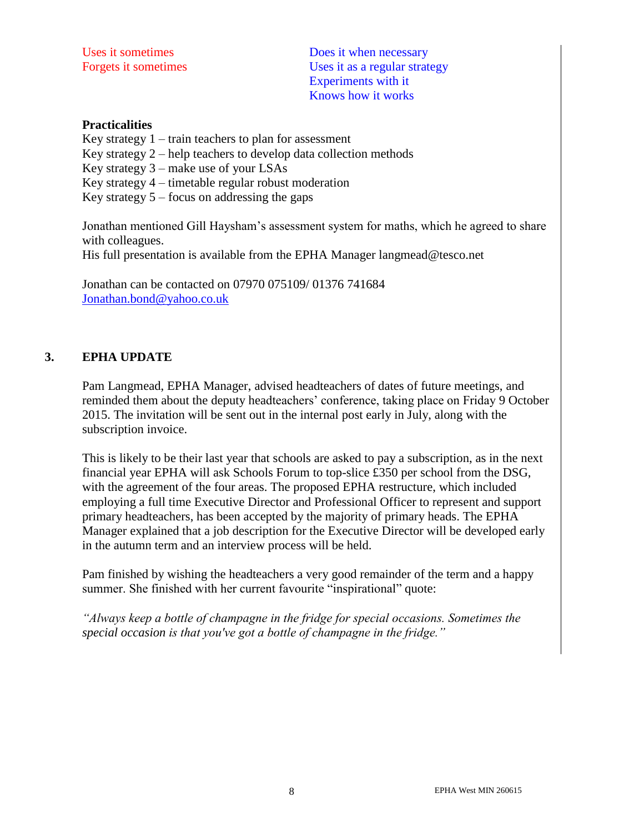Uses it sometimes Does it when necessary Forgets it sometimes Uses it as a regular strategy Experiments with it Knows how it works

#### **Practicalities**

Key strategy  $1 - \text{train}$  teachers to plan for assessment Key strategy 2 – help teachers to develop data collection methods Key strategy 3 – make use of your LSAs

Key strategy 4 – timetable regular robust moderation

Key strategy  $5 -$  focus on addressing the gaps

Jonathan mentioned Gill Haysham's assessment system for maths, which he agreed to share with colleagues.

His full presentation is available from the EPHA Manager langmead@tesco.net

Jonathan can be contacted on 07970 075109/ 01376 741684 [Jonathan.bond@yahoo.co.uk](mailto:Jonathan.bond@yahoo.co.uk)

#### **3. EPHA UPDATE**

Pam Langmead, EPHA Manager, advised headteachers of dates of future meetings, and reminded them about the deputy headteachers' conference, taking place on Friday 9 October 2015. The invitation will be sent out in the internal post early in July, along with the subscription invoice.

This is likely to be their last year that schools are asked to pay a subscription, as in the next financial year EPHA will ask Schools Forum to top-slice £350 per school from the DSG, with the agreement of the four areas. The proposed EPHA restructure, which included employing a full time Executive Director and Professional Officer to represent and support primary headteachers, has been accepted by the majority of primary heads. The EPHA Manager explained that a job description for the Executive Director will be developed early in the autumn term and an interview process will be held.

Pam finished by wishing the headteachers a very good remainder of the term and a happy summer. She finished with her current favourite "inspirational" quote:

*"Always keep a bottle of champagne in the fridge for special occasions. Sometimes the special occasion is that you've got a bottle of champagne in the fridge."*